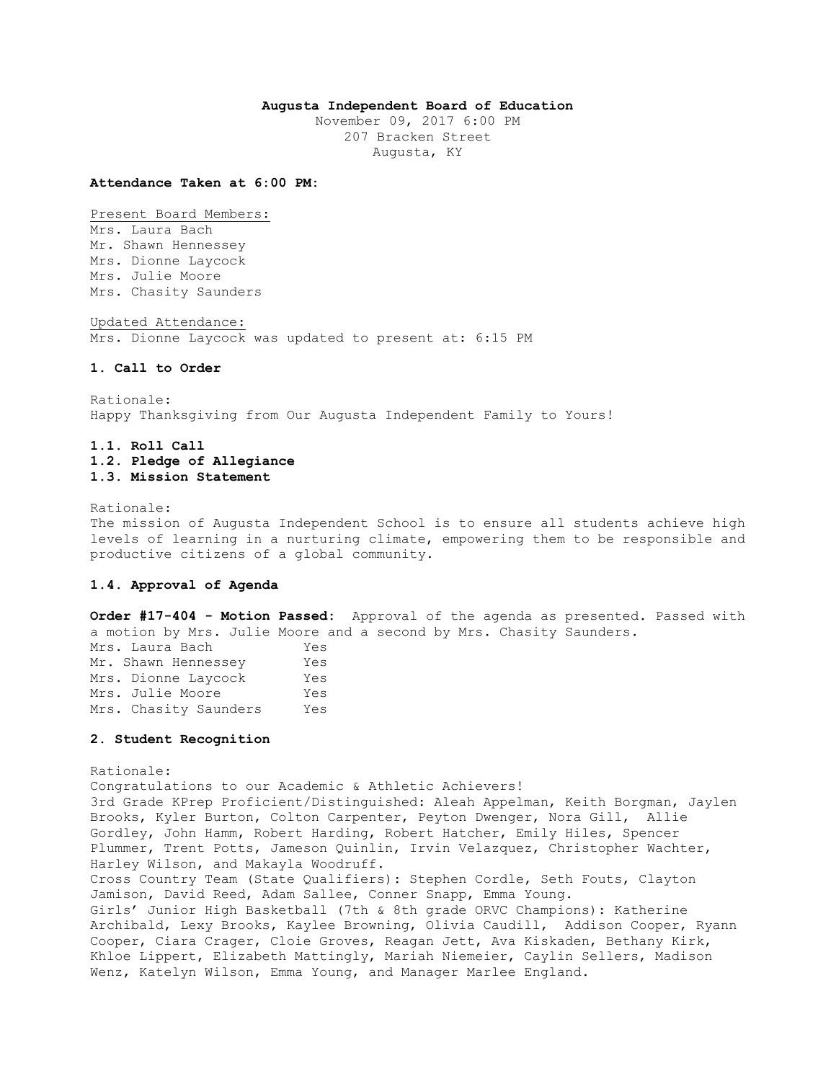## **Augusta Independent Board of Education**

November 09, 2017 6:00 PM 207 Bracken Street Augusta, KY

#### **Attendance Taken at 6:00 PM:**

Present Board Members:

Mrs. Laura Bach Mr. Shawn Hennessey Mrs. Dionne Laycock Mrs. Julie Moore Mrs. Chasity Saunders

Updated Attendance: Mrs. Dionne Laycock was updated to present at: 6:15 PM

## **1. Call to Order**

Rationale: Happy Thanksgiving from Our Augusta Independent Family to Yours!

# **1.1. Roll Call 1.2. Pledge of Allegiance 1.3. Mission Statement**

Rationale:

The mission of Augusta Independent School is to ensure all students achieve high levels of learning in a nurturing climate, empowering them to be responsible and productive citizens of a global community.

## **1.4. Approval of Agenda**

**Order #17-404 - Motion Passed:** Approval of the agenda as presented. Passed with a motion by Mrs. Julie Moore and a second by Mrs. Chasity Saunders.

| Mrs. Laura Bach       | Yes |
|-----------------------|-----|
| Mr. Shawn Hennessey   | Yes |
| Mrs. Dionne Lavcock   | Yes |
| Mrs. Julie Moore      | Yes |
| Mrs. Chasity Saunders | Yes |

#### **2. Student Recognition**

Rationale: Congratulations to our Academic & Athletic Achievers! 3rd Grade KPrep Proficient/Distinguished: Aleah Appelman, Keith Borgman, Jaylen Brooks, Kyler Burton, Colton Carpenter, Peyton Dwenger, Nora Gill, Allie Gordley, John Hamm, Robert Harding, Robert Hatcher, Emily Hiles, Spencer Plummer, Trent Potts, Jameson Quinlin, Irvin Velazquez, Christopher Wachter, Harley Wilson, and Makayla Woodruff. Cross Country Team (State Qualifiers): Stephen Cordle, Seth Fouts, Clayton Jamison, David Reed, Adam Sallee, Conner Snapp, Emma Young. Girls' Junior High Basketball (7th & 8th grade ORVC Champions): Katherine Archibald, Lexy Brooks, Kaylee Browning, Olivia Caudill, Addison Cooper, Ryann Cooper, Ciara Crager, Cloie Groves, Reagan Jett, Ava Kiskaden, Bethany Kirk, Khloe Lippert, Elizabeth Mattingly, Mariah Niemeier, Caylin Sellers, Madison Wenz, Katelyn Wilson, Emma Young, and Manager Marlee England.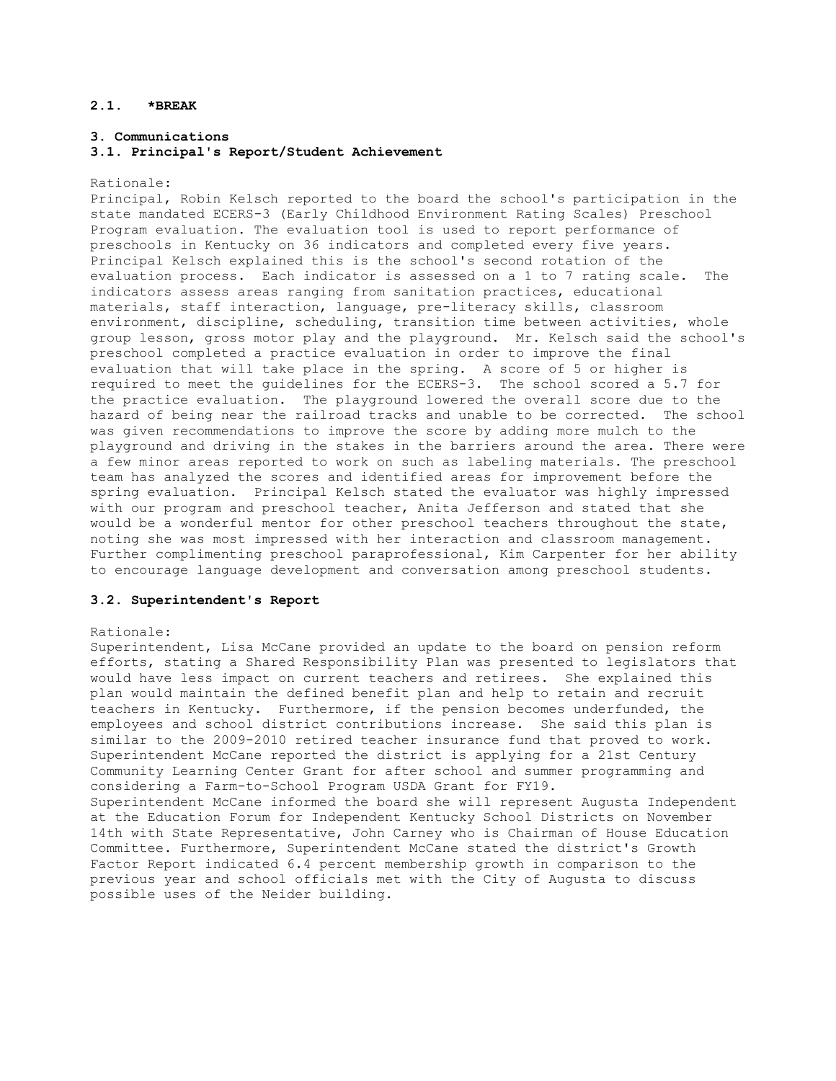# **2.1. \*BREAK**

### **3. Communications**

### **3.1. Principal's Report/Student Achievement**

#### Rationale:

Principal, Robin Kelsch reported to the board the school's participation in the state mandated ECERS-3 (Early Childhood Environment Rating Scales) Preschool Program evaluation. The evaluation tool is used to report performance of preschools in Kentucky on 36 indicators and completed every five years. Principal Kelsch explained this is the school's second rotation of the evaluation process. Each indicator is assessed on a 1 to 7 rating scale. The indicators assess areas ranging from sanitation practices, educational materials, staff interaction, language, pre-literacy skills, classroom environment, discipline, scheduling, transition time between activities, whole group lesson, gross motor play and the playground. Mr. Kelsch said the school's preschool completed a practice evaluation in order to improve the final evaluation that will take place in the spring. A score of 5 or higher is required to meet the guidelines for the ECERS-3. The school scored a 5.7 for the practice evaluation. The playground lowered the overall score due to the hazard of being near the railroad tracks and unable to be corrected. The school was given recommendations to improve the score by adding more mulch to the playground and driving in the stakes in the barriers around the area. There were a few minor areas reported to work on such as labeling materials. The preschool team has analyzed the scores and identified areas for improvement before the spring evaluation. Principal Kelsch stated the evaluator was highly impressed with our program and preschool teacher, Anita Jefferson and stated that she would be a wonderful mentor for other preschool teachers throughout the state, noting she was most impressed with her interaction and classroom management. Further complimenting preschool paraprofessional, Kim Carpenter for her ability to encourage language development and conversation among preschool students.

## **3.2. Superintendent's Report**

#### Rationale:

Superintendent, Lisa McCane provided an update to the board on pension reform efforts, stating a Shared Responsibility Plan was presented to legislators that would have less impact on current teachers and retirees. She explained this plan would maintain the defined benefit plan and help to retain and recruit teachers in Kentucky. Furthermore, if the pension becomes underfunded, the employees and school district contributions increase. She said this plan is similar to the 2009-2010 retired teacher insurance fund that proved to work. Superintendent McCane reported the district is applying for a 21st Century Community Learning Center Grant for after school and summer programming and considering a Farm-to-School Program USDA Grant for FY19. Superintendent McCane informed the board she will represent Augusta Independent at the Education Forum for Independent Kentucky School Districts on November 14th with State Representative, John Carney who is Chairman of House Education Committee. Furthermore, Superintendent McCane stated the district's Growth Factor Report indicated 6.4 percent membership growth in comparison to the previous year and school officials met with the City of Augusta to discuss possible uses of the Neider building.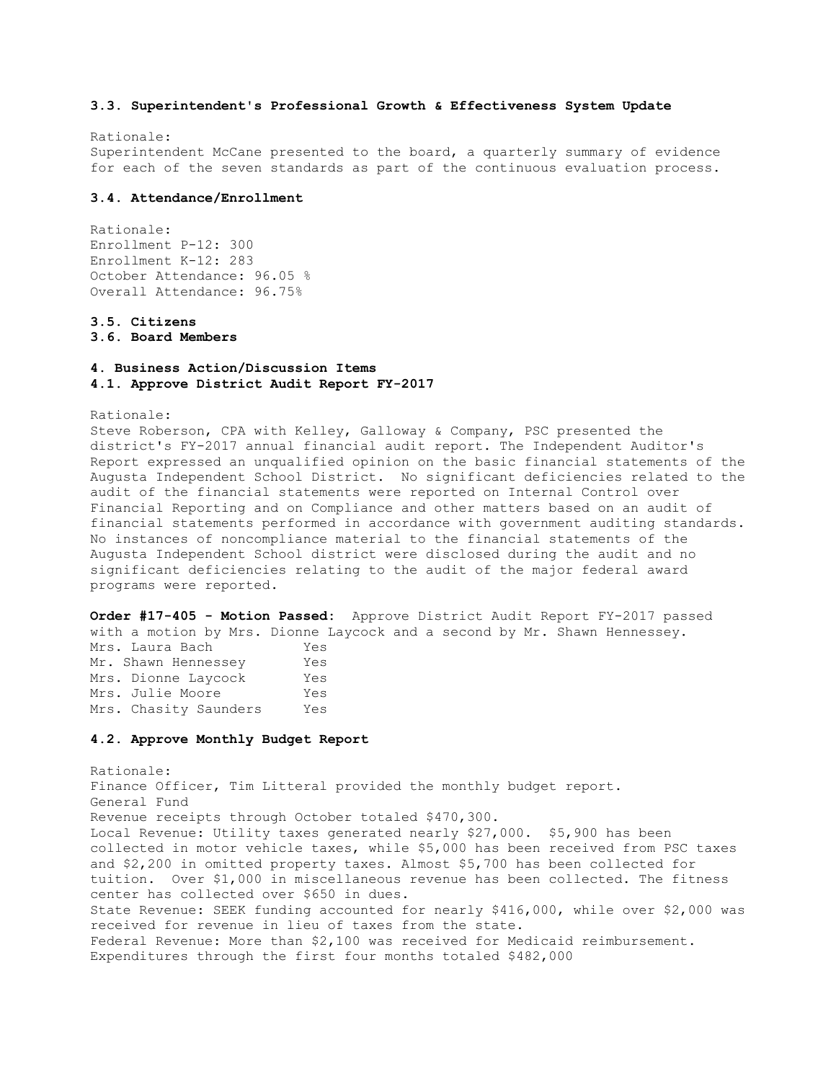## **3.3. Superintendent's Professional Growth & Effectiveness System Update**

Rationale: Superintendent McCane presented to the board, a quarterly summary of evidence for each of the seven standards as part of the continuous evaluation process.

### **3.4. Attendance/Enrollment**

Rationale: Enrollment P-12: 300 Enrollment K-12: 283 October Attendance: 96.05 % Overall Attendance: 96.75%

**3.5. Citizens** 

**3.6. Board Members** 

# **4. Business Action/Discussion Items 4.1. Approve District Audit Report FY-2017**

Rationale:

Steve Roberson, CPA with Kelley, Galloway & Company, PSC presented the district's FY-2017 annual financial audit report. The Independent Auditor's Report expressed an unqualified opinion on the basic financial statements of the Augusta Independent School District. No significant deficiencies related to the audit of the financial statements were reported on Internal Control over Financial Reporting and on Compliance and other matters based on an audit of financial statements performed in accordance with government auditing standards. No instances of noncompliance material to the financial statements of the Augusta Independent School district were disclosed during the audit and no significant deficiencies relating to the audit of the major federal award programs were reported.

**Order #17-405 - Motion Passed:** Approve District Audit Report FY-2017 passed with a motion by Mrs. Dionne Laycock and a second by Mr. Shawn Hennessey. Mrs. Laura Bach Yes

| Mrs. Laura Bacn       | res |
|-----------------------|-----|
| Mr. Shawn Hennessey   | Yes |
| Mrs. Dionne Lavcock   | Yes |
| Mrs. Julie Moore      | Yes |
| Mrs. Chasity Saunders | Yes |

#### **4.2. Approve Monthly Budget Report**

Rationale: Finance Officer, Tim Litteral provided the monthly budget report. General Fund Revenue receipts through October totaled \$470,300. Local Revenue: Utility taxes generated nearly \$27,000. \$5,900 has been collected in motor vehicle taxes, while \$5,000 has been received from PSC taxes and \$2,200 in omitted property taxes. Almost \$5,700 has been collected for tuition. Over \$1,000 in miscellaneous revenue has been collected. The fitness center has collected over \$650 in dues. State Revenue: SEEK funding accounted for nearly \$416,000, while over \$2,000 was received for revenue in lieu of taxes from the state. Federal Revenue: More than \$2,100 was received for Medicaid reimbursement. Expenditures through the first four months totaled \$482,000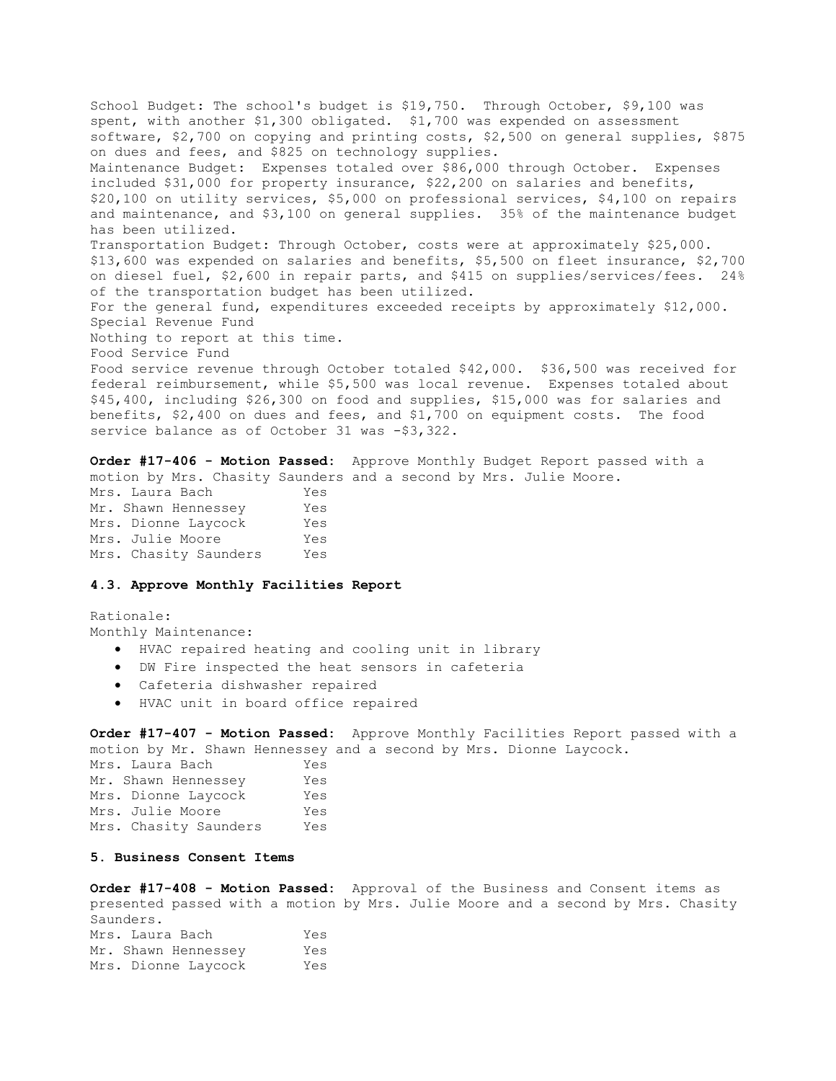School Budget: The school's budget is \$19,750. Through October, \$9,100 was spent, with another \$1,300 obligated. \$1,700 was expended on assessment software, \$2,700 on copying and printing costs, \$2,500 on general supplies, \$875 on dues and fees, and \$825 on technology supplies. Maintenance Budget: Expenses totaled over \$86,000 through October. Expenses included \$31,000 for property insurance, \$22,200 on salaries and benefits, \$20,100 on utility services, \$5,000 on professional services, \$4,100 on repairs and maintenance, and \$3,100 on general supplies. 35% of the maintenance budget has been utilized. Transportation Budget: Through October, costs were at approximately \$25,000. \$13,600 was expended on salaries and benefits, \$5,500 on fleet insurance, \$2,700 on diesel fuel, \$2,600 in repair parts, and \$415 on supplies/services/fees. 24% of the transportation budget has been utilized. For the general fund, expenditures exceeded receipts by approximately \$12,000. Special Revenue Fund Nothing to report at this time. Food Service Fund Food service revenue through October totaled \$42,000. \$36,500 was received for federal reimbursement, while \$5,500 was local revenue. Expenses totaled about \$45,400, including \$26,300 on food and supplies, \$15,000 was for salaries and benefits, \$2,400 on dues and fees, and \$1,700 on equipment costs. The food service balance as of October 31 was -\$3,322.

**Order #17-406 - Motion Passed:** Approve Monthly Budget Report passed with a motion by Mrs. Chasity Saunders and a second by Mrs. Julie Moore. Mrs. Laura Bach Yes Mr. Shawn Hennessey Yes Mrs. Dionne Laycock Yes Mrs. Julie Moore Yes Mrs. Chasity Saunders Yes

## **4.3. Approve Monthly Facilities Report**

Rationale: Monthly Maintenance:

- HVAC repaired heating and cooling unit in library
- DW Fire inspected the heat sensors in cafeteria
- Cafeteria dishwasher repaired
- HVAC unit in board office repaired

**Order #17-407 - Motion Passed:** Approve Monthly Facilities Report passed with a motion by Mr. Shawn Hennessey and a second by Mrs. Dionne Laycock.

| Mrs. Laura Bach       | Yes |
|-----------------------|-----|
| Mr. Shawn Hennessey   | Yes |
| Mrs. Dionne Laycock   | Yes |
| Mrs. Julie Moore      | Yes |
| Mrs. Chasity Saunders | Yes |

## **5. Business Consent Items**

**Order #17-408 - Motion Passed:** Approval of the Business and Consent items as presented passed with a motion by Mrs. Julie Moore and a second by Mrs. Chasity Saunders. Mrs. Laura Bach Yes Mr. Shawn Hennessey Yes Mrs. Dionne Laycock Yes